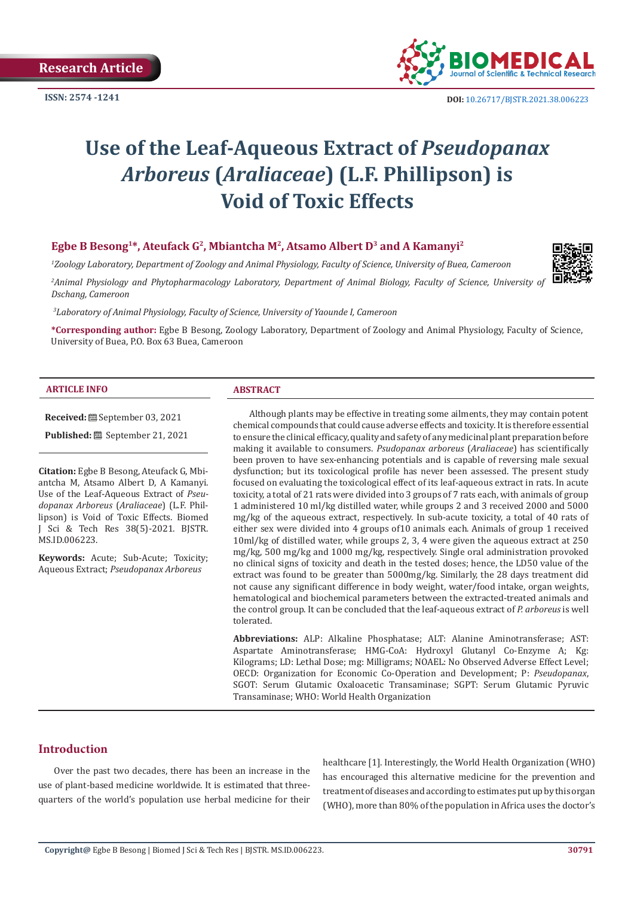**Research Article**

**ISSN: 2574 -1241**



# **Use of the Leaf-Aqueous Extract of** *Pseudopanax Arboreus* **(***Araliaceae***) (L.F. Phillipson) is Void of Toxic Effects**

### Egbe B Besong<sup>1\*</sup>, Ateufack G<sup>2</sup>, Mbiantcha M<sup>2</sup>, Atsamo Albert D<sup>3</sup> and A Kamanyi<sup>2</sup>

*1 Zoology Laboratory, Department of Zoology and Animal Physiology, Faculty of Science, University of Buea, Cameroon*

<sup>2</sup> Animal Physiology and Phytopharmacology Laboratory, Department of Animal Biology, Faculty of Science, University of *Dschang, Cameroon*

*3 Laboratory of Animal Physiology, Faculty of Science, University of Yaounde I, Cameroon*

**\*Corresponding author:** Egbe B Besong, Zoology Laboratory, Department of Zoology and Animal Physiology, Faculty of Science, University of Buea, P.O. Box 63 Buea, Cameroon

#### **ARTICLE INFO ABSTRACT**

**Received:** September 03, 2021

**Published:** September 21, 2021

**Citation:** Egbe B Besong, Ateufack G, Mbiantcha M, Atsamo Albert D, A Kamanyi. Use of the Leaf-Aqueous Extract of *Pseudopanax Arboreus* (*Araliaceae*) (L.F. Phillipson) is Void of Toxic Effects. Biomed J Sci & Tech Res 38(5)-2021. BJSTR. MS.ID.006223.

**Keywords:** Acute; Sub-Acute; Toxicity; Aqueous Extract; *Pseudopanax Arboreus*

Although plants may be effective in treating some ailments, they may contain potent chemical compounds that could cause adverse effects and toxicity. It is therefore essential to ensure the clinical efficacy, quality and safety of any medicinal plant preparation before making it available to consumers. *Psudopanax arboreus* (*Araliaceae*) has scientifically been proven to have sex-enhancing potentials and is capable of reversing male sexual dysfunction; but its toxicological profile has never been assessed. The present study focused on evaluating the toxicological effect of its leaf-aqueous extract in rats. In acute toxicity, a total of 21 rats were divided into 3 groups of 7 rats each, with animals of group 1 administered 10 ml/kg distilled water, while groups 2 and 3 received 2000 and 5000 mg/kg of the aqueous extract, respectively. In sub-acute toxicity, a total of 40 rats of either sex were divided into 4 groups of10 animals each. Animals of group 1 received 10ml/kg of distilled water, while groups 2, 3, 4 were given the aqueous extract at 250 mg/kg, 500 mg/kg and 1000 mg/kg, respectively. Single oral administration provoked no clinical signs of toxicity and death in the tested doses; hence, the LD50 value of the extract was found to be greater than 5000mg/kg. Similarly, the 28 days treatment did not cause any significant difference in body weight, water/food intake, organ weights, hematological and biochemical parameters between the extracted-treated animals and the control group. It can be concluded that the leaf-aqueous extract of *P. arboreus* is well tolerated.

**Abbreviations:** ALP: Alkaline Phosphatase; ALT: Alanine Aminotransferase; AST: Aspartate Aminotransferase; HMG-CoA: Hydroxyl Glutanyl Co-Enzyme A; Kg: Kilograms; LD: Lethal Dose; mg: Milligrams; NOAEL: No Observed Adverse Effect Level; OECD: Organization for Economic Co-Operation and Development; P: *Pseudopanax*, SGOT: Serum Glutamic Oxaloacetic Transaminase; SGPT: Serum Glutamic Pyruvic Transaminase; WHO: World Health Organization

# **Introduction**

Over the past two decades, there has been an increase in the use of plant-based medicine worldwide. It is estimated that threequarters of the world's population use herbal medicine for their healthcare [1]. Interestingly, the World Health Organization (WHO) has encouraged this alternative medicine for the prevention and treatment of diseases and according to estimates put up by this organ (WHO), more than 80% of the population in Africa uses the doctor's

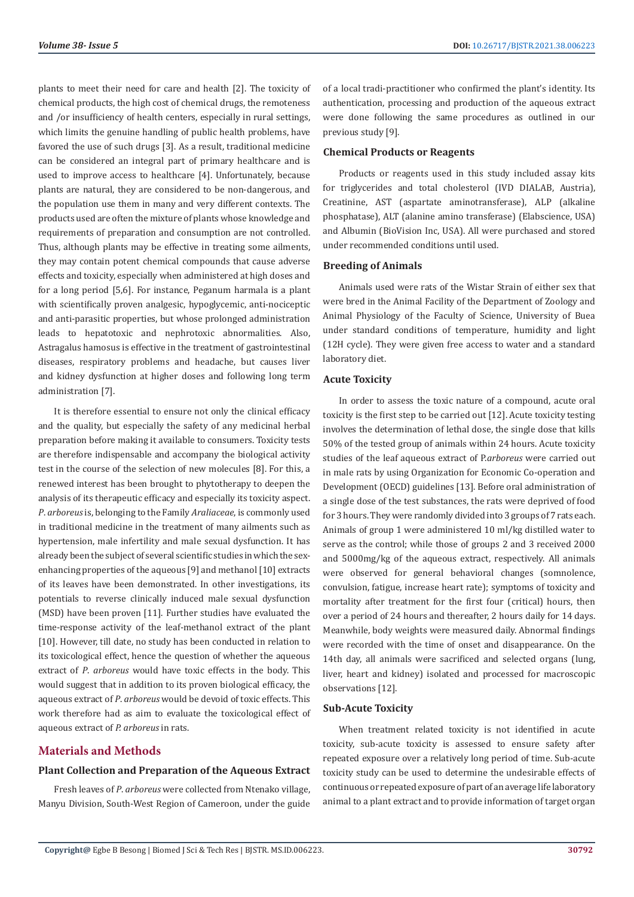plants to meet their need for care and health [2]. The toxicity of chemical products, the high cost of chemical drugs, the remoteness and /or insufficiency of health centers, especially in rural settings, which limits the genuine handling of public health problems, have favored the use of such drugs [3]. As a result, traditional medicine can be considered an integral part of primary healthcare and is used to improve access to healthcare [4]. Unfortunately, because plants are natural, they are considered to be non-dangerous, and the population use them in many and very different contexts. The products used are often the mixture of plants whose knowledge and requirements of preparation and consumption are not controlled. Thus, although plants may be effective in treating some ailments, they may contain potent chemical compounds that cause adverse effects and toxicity, especially when administered at high doses and for a long period [5,6]. For instance, Peganum harmala is a plant with scientifically proven analgesic, hypoglycemic, anti-nociceptic and anti-parasitic properties, but whose prolonged administration leads to hepatotoxic and nephrotoxic abnormalities. Also, Astragalus hamosus is effective in the treatment of gastrointestinal diseases, respiratory problems and headache, but causes liver and kidney dysfunction at higher doses and following long term administration [7].

It is therefore essential to ensure not only the clinical efficacy and the quality, but especially the safety of any medicinal herbal preparation before making it available to consumers. Toxicity tests are therefore indispensable and accompany the biological activity test in the course of the selection of new molecules [8]. For this, a renewed interest has been brought to phytotherapy to deepen the analysis of its therapeutic efficacy and especially its toxicity aspect. *P*. *arboreus* is, belonging to the Family *Araliaceae*, is commonly used in traditional medicine in the treatment of many ailments such as hypertension, male infertility and male sexual dysfunction. It has already been the subject of several scientific studies in which the sexenhancing properties of the aqueous [9] and methanol [10] extracts of its leaves have been demonstrated. In other investigations, its potentials to reverse clinically induced male sexual dysfunction (MSD) have been proven [11]. Further studies have evaluated the time-response activity of the leaf-methanol extract of the plant [10]. However, till date, no study has been conducted in relation to its toxicological effect, hence the question of whether the aqueous extract of *P*. *arboreus* would have toxic effects in the body. This would suggest that in addition to its proven biological efficacy, the aqueous extract of *P*. *arboreus* would be devoid of toxic effects. This work therefore had as aim to evaluate the toxicological effect of aqueous extract of *P. arboreus* in rats.

# **Materials and Methods**

# **Plant Collection and Preparation of the Aqueous Extract**

Fresh leaves of *P*. *arboreus* were collected from Ntenako village, Manyu Division, South-West Region of Cameroon, under the guide of a local tradi-practitioner who confirmed the plant's identity. Its authentication, processing and production of the aqueous extract were done following the same procedures as outlined in our previous study [9].

#### **Chemical Products or Reagents**

Products or reagents used in this study included assay kits for triglycerides and total cholesterol (IVD DIALAB, Austria), Creatinine, AST (aspartate aminotransferase), ALP (alkaline phosphatase), ALT (alanine amino transferase) (Elabscience, USA) and Albumin (BioVision Inc, USA). All were purchased and stored under recommended conditions until used.

#### **Breeding of Animals**

Animals used were rats of the Wistar Strain of either sex that were bred in the Animal Facility of the Department of Zoology and Animal Physiology of the Faculty of Science, University of Buea under standard conditions of temperature, humidity and light (12H cycle). They were given free access to water and a standard laboratory diet.

#### **Acute Toxicity**

In order to assess the toxic nature of a compound, acute oral toxicity is the first step to be carried out [12]. Acute toxicity testing involves the determination of lethal dose, the single dose that kills 50% of the tested group of animals within 24 hours. Acute toxicity studies of the leaf aqueous extract of P.*arboreus* were carried out in male rats by using Organization for Economic Co-operation and Development (OECD) guidelines [13]. Before oral administration of a single dose of the test substances, the rats were deprived of food for 3 hours. They were randomly divided into 3 groups of 7 rats each. Animals of group 1 were administered 10 ml/kg distilled water to serve as the control; while those of groups 2 and 3 received 2000 and 5000mg/kg of the aqueous extract, respectively. All animals were observed for general behavioral changes (somnolence, convulsion, fatigue, increase heart rate); symptoms of toxicity and mortality after treatment for the first four (critical) hours, then over a period of 24 hours and thereafter, 2 hours daily for 14 days. Meanwhile, body weights were measured daily. Abnormal findings were recorded with the time of onset and disappearance. On the 14th day, all animals were sacrificed and selected organs (lung, liver, heart and kidney) isolated and processed for macroscopic observations [12].

#### **Sub-Acute Toxicity**

When treatment related toxicity is not identified in acute toxicity, sub-acute toxicity is assessed to ensure safety after repeated exposure over a relatively long period of time. Sub-acute toxicity study can be used to determine the undesirable effects of continuous or repeated exposure of part of an average life laboratory animal to a plant extract and to provide information of target organ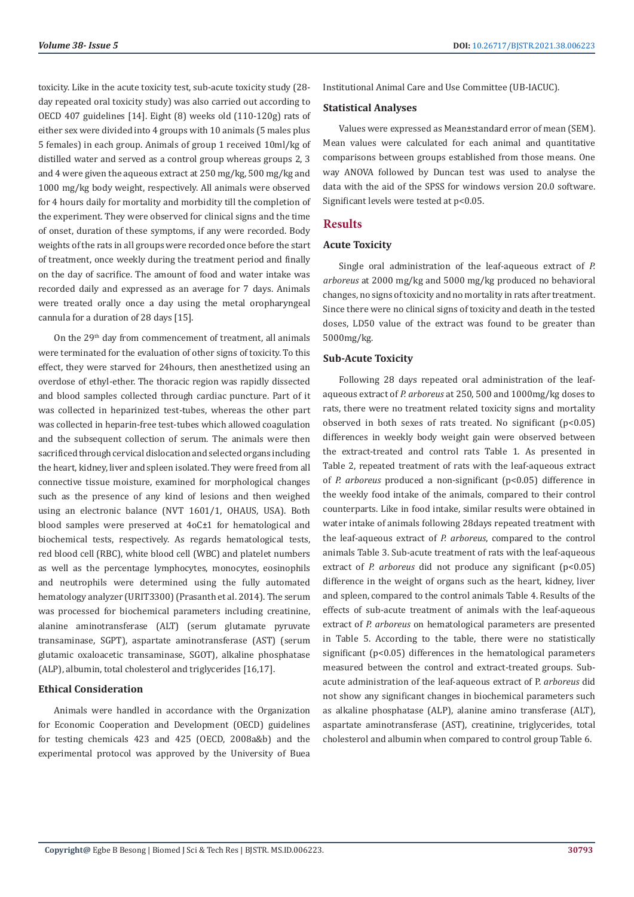toxicity. Like in the acute toxicity test, sub-acute toxicity study (28 day repeated oral toxicity study) was also carried out according to OECD 407 guidelines [14]. Eight (8) weeks old (110-120g) rats of either sex were divided into 4 groups with 10 animals (5 males plus 5 females) in each group. Animals of group 1 received 10ml/kg of distilled water and served as a control group whereas groups 2, 3 and 4 were given the aqueous extract at 250 mg/kg, 500 mg/kg and 1000 mg/kg body weight, respectively. All animals were observed for 4 hours daily for mortality and morbidity till the completion of the experiment. They were observed for clinical signs and the time of onset, duration of these symptoms, if any were recorded. Body weights of the rats in all groups were recorded once before the start of treatment, once weekly during the treatment period and finally on the day of sacrifice. The amount of food and water intake was recorded daily and expressed as an average for 7 days. Animals were treated orally once a day using the metal oropharyngeal cannula for a duration of 28 days [15].

On the 29th day from commencement of treatment, all animals were terminated for the evaluation of other signs of toxicity. To this effect, they were starved for 24hours, then anesthetized using an overdose of ethyl-ether. The thoracic region was rapidly dissected and blood samples collected through cardiac puncture. Part of it was collected in heparinized test-tubes, whereas the other part was collected in heparin-free test-tubes which allowed coagulation and the subsequent collection of serum. The animals were then sacrificed through cervical dislocation and selected organs including the heart, kidney, liver and spleen isolated. They were freed from all connective tissue moisture, examined for morphological changes such as the presence of any kind of lesions and then weighed using an electronic balance (NVT 1601/1, OHAUS, USA). Both blood samples were preserved at 4oC±1 for hematological and biochemical tests, respectively. As regards hematological tests, red blood cell (RBC), white blood cell (WBC) and platelet numbers as well as the percentage lymphocytes, monocytes, eosinophils and neutrophils were determined using the fully automated hematology analyzer (URIT3300) (Prasanth et al. 2014). The serum was processed for biochemical parameters including creatinine, alanine aminotransferase (ALT) (serum glutamate pyruvate transaminase, SGPT), aspartate aminotransferase (AST) (serum glutamic oxaloacetic transaminase, SGOT), alkaline phosphatase (ALP), albumin, total cholesterol and triglycerides [16,17].

#### **Ethical Consideration**

Animals were handled in accordance with the Organization for Economic Cooperation and Development (OECD) guidelines for testing chemicals 423 and 425 (OECD, 2008a&b) and the experimental protocol was approved by the University of Buea

Institutional Animal Care and Use Committee (UB-IACUC).

#### **Statistical Analyses**

Values were expressed as Mean±standard error of mean (SEM). Mean values were calculated for each animal and quantitative comparisons between groups established from those means. One way ANOVA followed by Duncan test was used to analyse the data with the aid of the SPSS for windows version 20.0 software. Significant levels were tested at p<0.05.

#### **Results**

#### **Acute Toxicity**

Single oral administration of the leaf-aqueous extract of *P. arboreus* at 2000 mg/kg and 5000 mg/kg produced no behavioral changes, no signs of toxicity and no mortality in rats after treatment. Since there were no clinical signs of toxicity and death in the tested doses, LD50 value of the extract was found to be greater than 5000mg/kg.

#### **Sub-Acute Toxicity**

Following 28 days repeated oral administration of the leafaqueous extract of *P. arboreus* at 250, 500 and 1000mg/kg doses to rats, there were no treatment related toxicity signs and mortality observed in both sexes of rats treated. No significant (p<0.05) differences in weekly body weight gain were observed between the extract-treated and control rats Table 1. As presented in Table 2, repeated treatment of rats with the leaf-aqueous extract of *P. arboreus* produced a non-significant (p<0.05) difference in the weekly food intake of the animals, compared to their control counterparts. Like in food intake, similar results were obtained in water intake of animals following 28days repeated treatment with the leaf-aqueous extract of *P. arboreus*, compared to the control animals Table 3. Sub-acute treatment of rats with the leaf-aqueous extract of *P. arboreus* did not produce any significant (p<0.05) difference in the weight of organs such as the heart, kidney, liver and spleen, compared to the control animals Table 4. Results of the effects of sub-acute treatment of animals with the leaf-aqueous extract of *P. arboreus* on hematological parameters are presented in Table 5. According to the table, there were no statistically significant (p<0.05) differences in the hematological parameters measured between the control and extract-treated groups. Subacute administration of the leaf-aqueous extract of P. *arboreus* did not show any significant changes in biochemical parameters such as alkaline phosphatase (ALP), alanine amino transferase (ALT), aspartate aminotransferase (AST), creatinine, triglycerides, total cholesterol and albumin when compared to control group Table 6.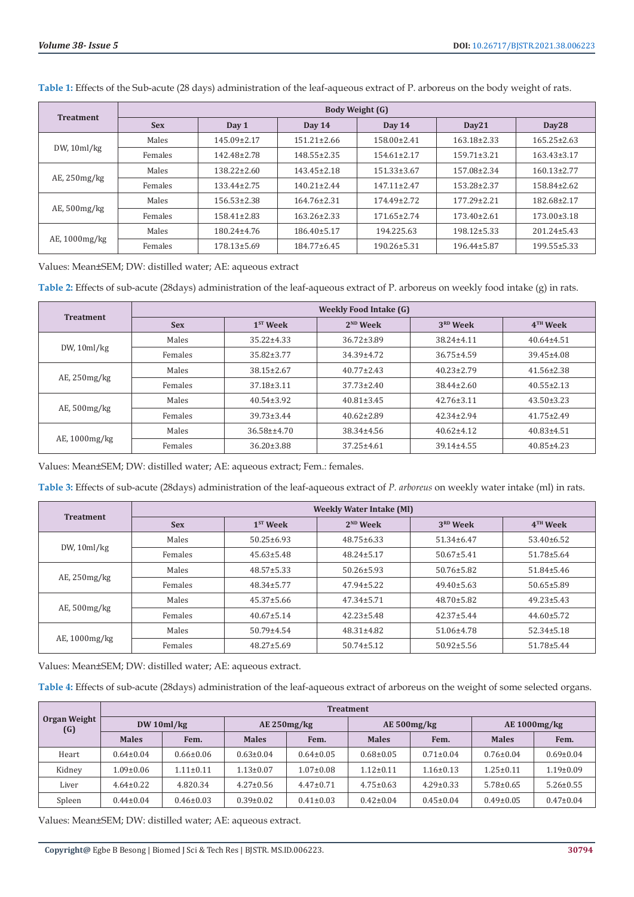| <b>Treatment</b>   | <b>Body Weight (G)</b> |                   |                   |                   |                   |                   |  |  |  |
|--------------------|------------------------|-------------------|-------------------|-------------------|-------------------|-------------------|--|--|--|
|                    | <b>Sex</b>             | Day 1             | Day $14$          | Day $14$          | Day21             | Day28             |  |  |  |
| DW, 10ml/kg        | Males                  | 145.09±2.17       | $151.21 \pm 2.66$ | 158.00±2.41       | 163.18±2.33       | $165.25 \pm 2.63$ |  |  |  |
|                    | Females                | 142.48±2.78       | $148.55 \pm 2.35$ | $154.61 \pm 2.17$ | $159.71 \pm 3.21$ | $163.43 \pm 3.17$ |  |  |  |
| $AE$ , 250 $mg/kg$ | Males                  | $138.22 \pm 2.60$ | $143.45 \pm 2.18$ | 151.33±3.67       | 157.08±2.34       | $160.13 \pm 2.77$ |  |  |  |
|                    | Females                | 133.44±2.75       | $140.21 \pm 2.44$ | $147.11 \pm 2.47$ | 153.28±2.37       | 158.84±2.62       |  |  |  |
| AE, 500mg/kg       | Males                  | $156.53 \pm 2.38$ | $164.76 \pm 2.31$ | $174.49 \pm 2.72$ | 177.29±2.21       | 182.68±2.17       |  |  |  |
|                    | Females                | $158.41 \pm 2.83$ | $163.26 \pm 2.33$ | $171.65 \pm 2.74$ | $173.40 \pm 2.61$ | $173.00 \pm 3.18$ |  |  |  |
| AE, 1000mg/kg      | Males                  | 180.24±4.76       | $186.40 \pm 5.17$ | 194.225.63        | $198.12 \pm 5.33$ | $201.24 \pm 5.43$ |  |  |  |
|                    | Females                | $178.13 \pm 5.69$ | $184.77 \pm 6.45$ | $190.26 \pm 5.31$ | 196.44±5.87       | $199.55 \pm 5.33$ |  |  |  |

**Table 1:** Effects of the Sub-acute (28 days) administration of the leaf-aqueous extract of P. arboreus on the body weight of rats.

Values: Mean±SEM; DW: distilled water; AE: aqueous extract

**Table 2:** Effects of sub-acute (28days) administration of the leaf-aqueous extract of P. arboreus on weekly food intake (g) in rats.

|                     | <b>Weekly Food Intake (G)</b> |                  |                  |                  |                  |  |  |  |
|---------------------|-------------------------------|------------------|------------------|------------------|------------------|--|--|--|
| <b>Treatment</b>    | <b>Sex</b>                    | $1ST$ Week       | $2ND$ Week       | $3RD$ Week       | $4TH$ Week       |  |  |  |
| DW, 10ml/kg         | Males                         | $35.22 \pm 4.33$ | $36.72 \pm 3.89$ | $38.24 \pm 4.11$ | $40.64 \pm 4.51$ |  |  |  |
|                     | Females                       | $35.82 \pm 3.77$ | $34.39 \pm 4.72$ | $36.75 \pm 4.59$ | 39.45±4.08       |  |  |  |
| $AE$ , 250 $mg/kg$  | Males                         | $38.15 \pm 2.67$ | $40.77 \pm 2.43$ | $40.23 \pm 2.79$ | $41.56 \pm 2.38$ |  |  |  |
|                     | Females                       | $37.18 \pm 3.11$ | $37.73 \pm 2.40$ | 38.44±2.60       | $40.55 \pm 2.13$ |  |  |  |
| AE, 500mg/kg        | Males                         | $40.54 \pm 3.92$ | $40.81 \pm 3.45$ | $42.76 \pm 3.11$ | $43.50 \pm 3.23$ |  |  |  |
|                     | Females                       | $39.73 \pm 3.44$ | $40.62 \pm 2.89$ | $42.34 \pm 2.94$ | $41.75 \pm 2.49$ |  |  |  |
| $AE$ , 1000 $mg/kg$ | Males                         | $36.58 \pm 4.70$ | 38.34±4.56       | $40.62 \pm 4.12$ | $40.83 \pm 4.51$ |  |  |  |
|                     | Females                       | $36.20 \pm 3.88$ | $37.25 \pm 4.61$ | $39.14 \pm 4.55$ | $40.85 \pm 4.23$ |  |  |  |

Values: Mean±SEM; DW: distilled water; AE: aqueous extract; Fem.: females.

**Table 3:** Effects of sub-acute (28days) administration of the leaf-aqueous extract of *P. arboreus* on weekly water intake (ml) in rats.

| <b>Treatment</b>   | <b>Weekly Water Intake (MI)</b> |                  |                  |                      |                  |  |  |  |
|--------------------|---------------------------------|------------------|------------------|----------------------|------------------|--|--|--|
|                    | <b>Sex</b>                      | $1ST$ Week       | $2^{ND}$ Week    | 3 <sup>RD</sup> Week | $4TH$ Week       |  |  |  |
| DW, 10ml/kg        | Males                           | $50.25 \pm 6.93$ | $48.75 \pm 6.33$ | $51.34 \pm 6.47$     | $53.40 \pm 6.52$ |  |  |  |
|                    | Females                         | $45.63 \pm 5.48$ | $48.24 \pm 5.17$ | $50.67 \pm 5.41$     | $51.78 \pm 5.64$ |  |  |  |
| $AE$ , 250 $mg/kg$ | Males                           | $48.57 \pm 5.33$ | $50.26 \pm 5.93$ | $50.76 \pm 5.82$     | $51.84 \pm 5.46$ |  |  |  |
|                    | Females                         | $48.34 \pm 5.77$ | $47.94 \pm 5.22$ | $49.40 \pm 5.63$     | $50.65 \pm 5.89$ |  |  |  |
| AE, 500mg/kg       | Males                           | $45.37 \pm 5.66$ | $47.34 \pm 5.71$ | $48.70 \pm 5.82$     | $49.23 \pm 5.43$ |  |  |  |
|                    | Females                         | $40.67 \pm 5.14$ | $42.23 \pm 5.48$ | $42.37 \pm 5.44$     | $44.60 \pm 5.72$ |  |  |  |
| AE, $1000$ mg/kg   | Males                           | $50.79 \pm 4.54$ | $48.31 \pm 4.82$ | 51.06±4.78           | $52.34 \pm 5.18$ |  |  |  |
|                    | Females                         | $48.27 \pm 5.69$ | $50.74 \pm 5.12$ | $50.92 \pm 5.56$     | $51.78 \pm 5.44$ |  |  |  |

Values: Mean±SEM; DW: distilled water; AE: aqueous extract.

**Table 4:** Effects of sub-acute (28days) administration of the leaf-aqueous extract of arboreus on the weight of some selected organs.

| Organ Weight<br>(G) | <b>Treatment</b> |                 |                  |                 |                 |                 |                 |                 |  |
|---------------------|------------------|-----------------|------------------|-----------------|-----------------|-----------------|-----------------|-----------------|--|
|                     | DW 10ml/kg       |                 | $AE$ 250mg/ $kg$ |                 | AE 500mg/kg     |                 | AE 1000mg/kg    |                 |  |
|                     | <b>Males</b>     | Fem.            | <b>Males</b>     | Fem.            | <b>Males</b>    | Fem.            | <b>Males</b>    | Fem.            |  |
| Heart               | $0.64 \pm 0.04$  | $0.66 \pm 0.06$ | $0.63 \pm 0.04$  | $0.64 \pm 0.05$ | $0.68 \pm 0.05$ | $0.71 \pm 0.04$ | $0.76 \pm 0.04$ | $0.69 \pm 0.04$ |  |
| Kidney              | $1.09 \pm 0.06$  | $1.11 \pm 0.11$ | $1.13 \pm 0.07$  | $1.07 \pm 0.08$ | $1.12 \pm 0.11$ | $1.16 \pm 0.13$ | $1.25 \pm 0.11$ | $1.19 \pm 0.09$ |  |
| Liver               | $4.64 \pm 0.22$  | 4.820.34        | $4.27 \pm 0.56$  | $4.47 \pm 0.71$ | $4.75 \pm 0.63$ | $4.29 \pm 0.33$ | $5.78 \pm 0.65$ | $5.26 \pm 0.55$ |  |
| Spleen              | $0.44 \pm 0.04$  | $0.46 \pm 0.03$ | $0.39 \pm 0.02$  | $0.41 \pm 0.03$ | $0.42 \pm 0.04$ | $0.45 \pm 0.04$ | $0.49 \pm 0.05$ | $0.47 \pm 0.04$ |  |

Values: Mean±SEM; DW: distilled water; AE: aqueous extract.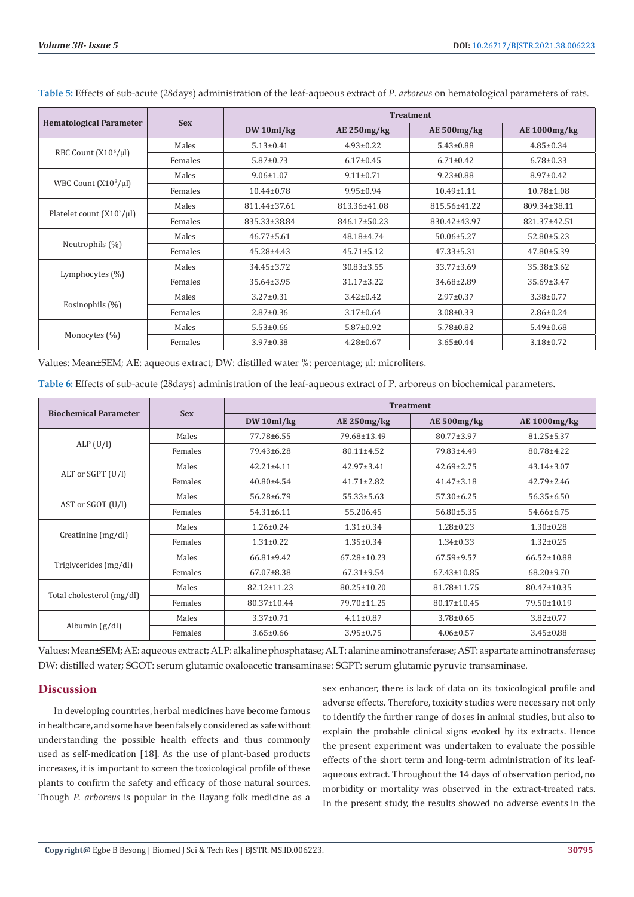|                                  | <b>Sex</b> | <b>Treatment</b> |                  |                  |                  |  |  |
|----------------------------------|------------|------------------|------------------|------------------|------------------|--|--|
| <b>Hematological Parameter</b>   |            | DW 10ml/kg       | $AE$ 250mg/kg    | AE 500mg/kg      | AE 1000mg/kg     |  |  |
|                                  | Males      | $5.13 \pm 0.41$  | $4.93 \pm 0.22$  | $5.43 \pm 0.88$  | $4.85 \pm 0.34$  |  |  |
| RBC Count (X10 <sup>6</sup> /µl) | Females    | $5.87 \pm 0.73$  | $6.17 \pm 0.45$  | $6.71 \pm 0.42$  | $6.78 \pm 0.33$  |  |  |
|                                  | Males      | $9.06 \pm 1.07$  | $9.11 \pm 0.71$  | $9.23 \pm 0.88$  | $8.97 \pm 0.42$  |  |  |
| WBC Count $(X10^3/\mu l)$        | Females    | $10.44 \pm 0.78$ | $9.95 \pm 0.94$  | $10.49 \pm 1.11$ | $10.78 \pm 1.08$ |  |  |
|                                  | Males      | 811.44±37.61     | 813.36±41.08     | 815.56±41.22     | 809.34±38.11     |  |  |
| Platelet count $(X10^3/\mu l)$   | Females    | 835.33±38.84     | 846.17±50.23     | 830.42±43.97     | 821.37±42.51     |  |  |
|                                  | Males      | $46.77 \pm 5.61$ | 48.18±4.74       | $50.06 \pm 5.27$ | $52.80 \pm 5.23$ |  |  |
| Neutrophils (%)                  | Females    | 45.28±4.43       | $45.71 \pm 5.12$ | $47.33 \pm 5.31$ | $47.80 \pm 5.39$ |  |  |
| Lymphocytes $(\%)$               | Males      | $34.45 \pm 3.72$ | $30.83 \pm 3.55$ | 33.77±3.69       | $35.38 \pm 3.62$ |  |  |
|                                  | Females    | 35.64±3.95       | $31.17 \pm 3.22$ | 34.68±2.89       | 35.69±3.47       |  |  |
| Eosinophils (%)                  | Males      | $3.27 \pm 0.31$  | $3.42 \pm 0.42$  | $2.97 \pm 0.37$  | $3.38 \pm 0.77$  |  |  |
|                                  | Females    | $2.87 \pm 0.36$  | $3.17 \pm 0.64$  | $3.08 \pm 0.33$  | $2.86 \pm 0.24$  |  |  |
|                                  | Males      | $5.53 \pm 0.66$  | $5.87 \pm 0.92$  | $5.78 \pm 0.82$  | $5.49 \pm 0.68$  |  |  |
| Monocytes (%)                    | Females    | $3.97 \pm 0.38$  | $4.28 \pm 0.67$  | $3.65 \pm 0.44$  | $3.18 \pm 0.72$  |  |  |

**Table 5:** Effects of sub-acute (28days) administration of the leaf-aqueous extract of *P. arboreus* on hematological parameters of rats.

Values: Mean±SEM; AE: aqueous extract; DW: distilled water %: percentage; µl: microliters.

|  |  | Table 6: Effects of sub-acute (28days) administration of the leaf-aqueous extract of P. arboreus on biochemical parameters. |
|--|--|-----------------------------------------------------------------------------------------------------------------------------|
|--|--|-----------------------------------------------------------------------------------------------------------------------------|

|                              |            | <b>Treatment</b> |                   |                   |                     |  |  |
|------------------------------|------------|------------------|-------------------|-------------------|---------------------|--|--|
| <b>Biochemical Parameter</b> | <b>Sex</b> | DW 10ml/kg       | $AE$ 250mg/kg     | AE 500mg/kg       | <b>AE 1000mg/kg</b> |  |  |
|                              | Males      | 77.78±6.55       | 79.68±13.49       | 80.77±3.97        | $81.25 \pm 5.37$    |  |  |
| ALP(U/I)                     | Females    | 79.43±6.28       | $80.11 \pm 4.52$  | 79.83±4.49        | 80.78±4.22          |  |  |
|                              | Males      | $42.21 \pm 4.11$ | $42.97 \pm 3.41$  | $42.69 \pm 2.75$  | $43.14 \pm 3.07$    |  |  |
| ALT or SGPT (U/l)            | Females    | $40.80 \pm 4.54$ | $41.71 \pm 2.82$  | $41.47 \pm 3.18$  | $42.79 \pm 2.46$    |  |  |
|                              | Males      | $56.28 \pm 6.79$ | $55.33 \pm 5.63$  | $57.30 \pm 6.25$  | $56.35 \pm 6.50$    |  |  |
| AST or SGOT (U/l)            | Females    | $54.31 \pm 6.11$ | 55.206.45         | $56.80 \pm 5.35$  | 54.66±6.75          |  |  |
|                              | Males      | $1.26 \pm 0.24$  | $1.31 \pm 0.34$   | $1.28 \pm 0.23$   | $1.30 \pm 0.28$     |  |  |
| Creatinine (mg/dl)           | Females    | $1.31 \pm 0.22$  | $1.35 \pm 0.34$   | $1.34 \pm 0.33$   | $1.32 \pm 0.25$     |  |  |
|                              | Males      | $66.81 \pm 9.42$ | 67.28±10.23       | 67.59±9.57        | 66.52±10.88         |  |  |
| Triglycerides (mg/dl)        | Females    | $67.07 \pm 8.38$ | $67.31 \pm 9.54$  | $67.43 \pm 10.85$ | $68.20 \pm 9.70$    |  |  |
|                              | Males      | 82.12±11.23      | $80.25 \pm 10.20$ | 81.78±11.75       | 80.47±10.35         |  |  |
| Total cholesterol (mg/dl)    | Females    | 80.37±10.44      | 79.70±11.25       | 80.17±10.45       | 79.50±10.19         |  |  |
|                              | Males      | $3.37 \pm 0.71$  | $4.11 \pm 0.87$   | $3.78 \pm 0.65$   | $3.82 \pm 0.77$     |  |  |
| Albumin $(g/dl)$             | Females    | $3.65 \pm 0.66$  | $3.95 \pm 0.75$   | $4.06 \pm 0.57$   | $3.45 \pm 0.88$     |  |  |

Values: Mean±SEM; AE: aqueous extract; ALP: alkaline phosphatase; ALT: alanine aminotransferase; AST: aspartate aminotransferase; DW: distilled water; SGOT: serum glutamic oxaloacetic transaminase: SGPT: serum glutamic pyruvic transaminase.

#### **Discussion**

In developing countries, herbal medicines have become famous in healthcare, and some have been falsely considered as safe without understanding the possible health effects and thus commonly used as self-medication [18]. As the use of plant-based products increases, it is important to screen the toxicological profile of these plants to confirm the safety and efficacy of those natural sources. Though *P*. *arboreus* is popular in the Bayang folk medicine as a

sex enhancer, there is lack of data on its toxicological profile and adverse effects. Therefore, toxicity studies were necessary not only to identify the further range of doses in animal studies, but also to explain the probable clinical signs evoked by its extracts. Hence the present experiment was undertaken to evaluate the possible effects of the short term and long-term administration of its leafaqueous extract. Throughout the 14 days of observation period, no morbidity or mortality was observed in the extract-treated rats. In the present study, the results showed no adverse events in the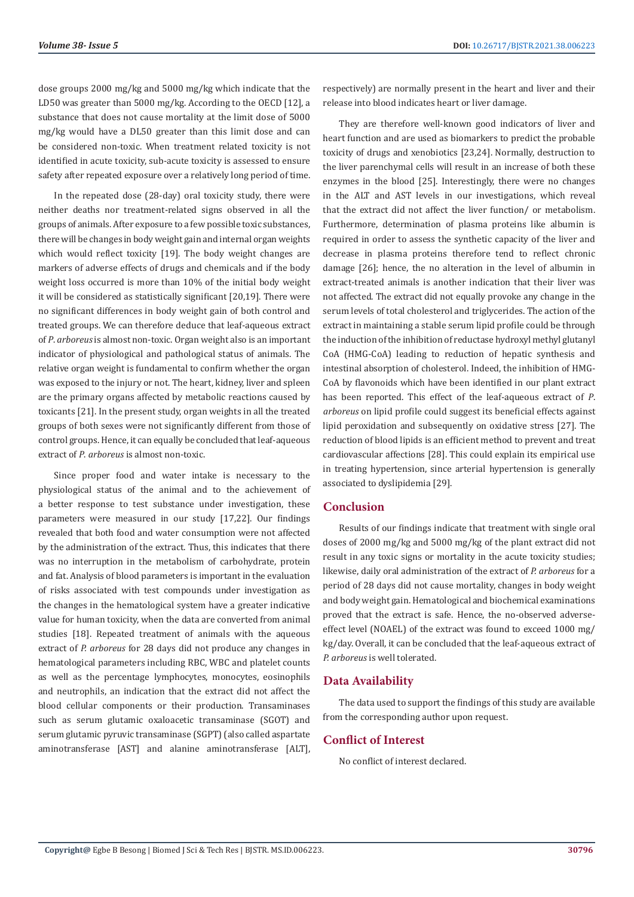dose groups 2000 mg/kg and 5000 mg/kg which indicate that the LD50 was greater than 5000 mg/kg. According to the OECD [12], a substance that does not cause mortality at the limit dose of 5000 mg/kg would have a DL50 greater than this limit dose and can be considered non-toxic. When treatment related toxicity is not identified in acute toxicity, sub-acute toxicity is assessed to ensure safety after repeated exposure over a relatively long period of time.

In the repeated dose (28-day) oral toxicity study, there were neither deaths nor treatment-related signs observed in all the groups of animals. After exposure to a few possible toxic substances, there will be changes in body weight gain and internal organ weights which would reflect toxicity [19]. The body weight changes are markers of adverse effects of drugs and chemicals and if the body weight loss occurred is more than 10% of the initial body weight it will be considered as statistically significant [20,19]. There were no significant differences in body weight gain of both control and treated groups. We can therefore deduce that leaf-aqueous extract of *P*. *arboreus* is almost non-toxic. Organ weight also is an important indicator of physiological and pathological status of animals. The relative organ weight is fundamental to confirm whether the organ was exposed to the injury or not. The heart, kidney, liver and spleen are the primary organs affected by metabolic reactions caused by toxicants [21]. In the present study, organ weights in all the treated groups of both sexes were not significantly different from those of control groups. Hence, it can equally be concluded that leaf-aqueous extract of *P*. *arboreus* is almost non-toxic.

Since proper food and water intake is necessary to the physiological status of the animal and to the achievement of a better response to test substance under investigation, these parameters were measured in our study [17,22]. Our findings revealed that both food and water consumption were not affected by the administration of the extract. Thus, this indicates that there was no interruption in the metabolism of carbohydrate, protein and fat. Analysis of blood parameters is important in the evaluation of risks associated with test compounds under investigation as the changes in the hematological system have a greater indicative value for human toxicity, when the data are converted from animal studies [18]. Repeated treatment of animals with the aqueous extract of *P. arboreus* for 28 days did not produce any changes in hematological parameters including RBC, WBC and platelet counts as well as the percentage lymphocytes, monocytes, eosinophils and neutrophils, an indication that the extract did not affect the blood cellular components or their production. Transaminases such as serum glutamic oxaloacetic transaminase (SGOT) and serum glutamic pyruvic transaminase (SGPT) (also called aspartate aminotransferase [AST] and alanine aminotransferase [ALT],

respectively) are normally present in the heart and liver and their release into blood indicates heart or liver damage.

They are therefore well-known good indicators of liver and heart function and are used as biomarkers to predict the probable toxicity of drugs and xenobiotics [23,24]. Normally, destruction to the liver parenchymal cells will result in an increase of both these enzymes in the blood [25]. Interestingly, there were no changes in the ALT and AST levels in our investigations, which reveal that the extract did not affect the liver function/ or metabolism. Furthermore, determination of plasma proteins like albumin is required in order to assess the synthetic capacity of the liver and decrease in plasma proteins therefore tend to reflect chronic damage [26]; hence, the no alteration in the level of albumin in extract-treated animals is another indication that their liver was not affected. The extract did not equally provoke any change in the serum levels of total cholesterol and triglycerides. The action of the extract in maintaining a stable serum lipid profile could be through the induction of the inhibition of reductase hydroxyl methyl glutanyl CoA (HMG-CoA) leading to reduction of hepatic synthesis and intestinal absorption of cholesterol. Indeed, the inhibition of HMG-CoA by flavonoids which have been identified in our plant extract has been reported. This effect of the leaf-aqueous extract of *P*. *arboreus* on lipid profile could suggest its beneficial effects against lipid peroxidation and subsequently on oxidative stress [27]. The reduction of blood lipids is an efficient method to prevent and treat cardiovascular affections [28]. This could explain its empirical use in treating hypertension, since arterial hypertension is generally associated to dyslipidemia [29].

#### **Conclusion**

Results of our findings indicate that treatment with single oral doses of 2000 mg/kg and 5000 mg/kg of the plant extract did not result in any toxic signs or mortality in the acute toxicity studies; likewise, daily oral administration of the extract of *P. arboreus* for a period of 28 days did not cause mortality, changes in body weight and body weight gain. Hematological and biochemical examinations proved that the extract is safe. Hence, the no-observed adverseeffect level (NOAEL) of the extract was found to exceed 1000 mg/ kg/day. Overall, it can be concluded that the leaf-aqueous extract of *P. arboreus* is well tolerated.

#### **Data Availability**

The data used to support the findings of this study are available from the corresponding author upon request.

# **Conflict of Interest**

No conflict of interest declared.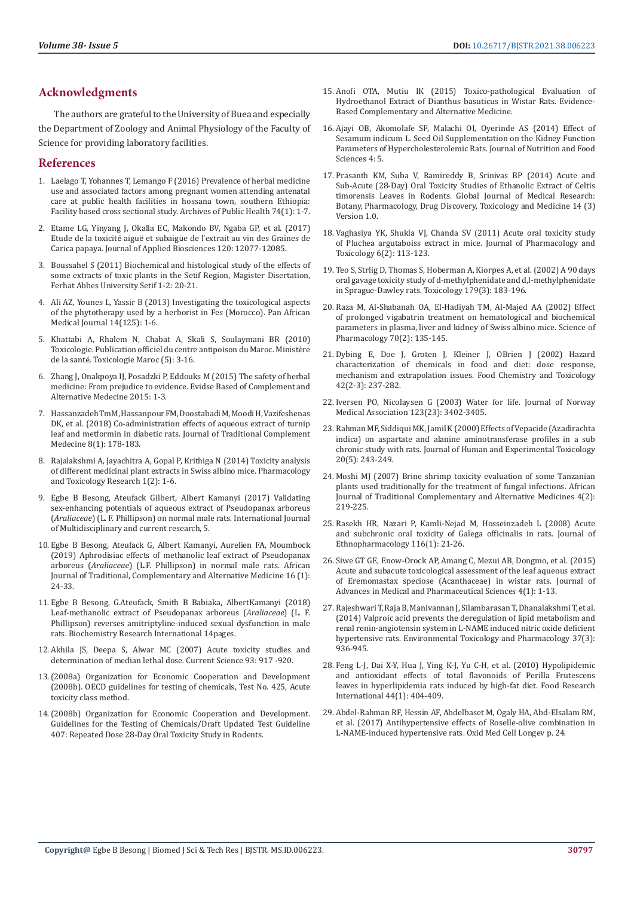# **Acknowledgments**

The authors are grateful to the University of Buea and especially the Department of Zoology and Animal Physiology of the Faculty of Science for providing laboratory facilities.

## **References**

- 1. [Laelago T, Yohannes T, Lemango F \(2016\) Prevalence of herbal medicine](https://pubmed.ncbi.nlm.nih.gov/26881052/)  [use and associated factors among pregnant women attending antenatal](https://pubmed.ncbi.nlm.nih.gov/26881052/)  [care at public health facilities in hossana town, southern Ethiopia:](https://pubmed.ncbi.nlm.nih.gov/26881052/)  [Facility based cross sectional study. Archives of Public Health 74\(1\): 1-7.](https://pubmed.ncbi.nlm.nih.gov/26881052/)
- 2. [Etame LG, Yinyang J, Okalla EC, Makondo BV, Ngaba GP, et al. \(2017\)](https://www.ajol.info/index.php/jab/article/view/168745)  Etude de la toxicité aiguë et subaigü[e de l'extrait au vin des Graines de](https://www.ajol.info/index.php/jab/article/view/168745)  [Carica papaya. Journal of Applied Biosciences 120: 12077-12085.](https://www.ajol.info/index.php/jab/article/view/168745)
- 3. Boussahel S (2011) Biochemical and histological study of the effects of some extracts of toxic plants in the Setif Region, Magister Disertation, Ferhat Abbes University Setif 1-2: 20-21.
- 4. Ali AZ, Younes L, Yassir B (2013) Investigating the toxicological aspects of the phytotherapy used by a herborist in Fes (Morocco). Pan African Medical Journal 14(125): 1-6.
- 5. Khattabi A, Rhalem N, Chabat A, Skali S, Soulaymani BR (2010) Toxicologie. Publication officiel du centre antipoison du Maroc. Ministère de la santé. Toxicologie Maroc (5): 3-16.
- 6. [Zhang J, Onakpoya IJ, Posadzki P, Eddouks M \(2015\) The safety of herbal](https://www.hindawi.com/journals/ecam/2015/316706/)  [medicine: From prejudice to evidence. Evidse Based of Complement and](https://www.hindawi.com/journals/ecam/2015/316706/)  [Alternative Medecine 2015: 1-3.](https://www.hindawi.com/journals/ecam/2015/316706/)
- 7. Hassanzadeh TmM, Hassanpour FM, Doostabadi M, Moodi H, Vazifeshenas DK, et al. (2018) Co-administration effects of aqueous extract of turnip leaf and metformin in diabetic rats. Journal of Traditional Complement Medecine 8(1): 178-183.
- 8. [Rajalakshmi A, Jayachitra A, Gopal P, Krithiga N \(2014\) Toxicity analysis](https://www.semanticscholar.org/paper/Toxicity-Analysis-of-different-medicinal-plant-in-Rajalakshmi./57e74f9f55f7304c9d0e345aee20c930fd5e68b2)  [of different medicinal plant extracts in Swiss albino mice. Pharmacology](https://www.semanticscholar.org/paper/Toxicity-Analysis-of-different-medicinal-plant-in-Rajalakshmi./57e74f9f55f7304c9d0e345aee20c930fd5e68b2)  [and Toxicology Research 1\(2\): 1-6.](https://www.semanticscholar.org/paper/Toxicity-Analysis-of-different-medicinal-plant-in-Rajalakshmi./57e74f9f55f7304c9d0e345aee20c930fd5e68b2)
- 9. Egbe B Besong, Ateufack Gilbert, Albert Kamanyi (2017) Validating sex-enhancing potentials of aqueous extract of Pseudopanax arboreus (*Araliaceae*) (L. F. Phillipson) on normal male rats. International Journal of Multidisciplinary and current research, 5.
- 10. [Egbe B Besong, Ateufack G, Albert Kamanyi, Aurelien FA, Moumbock](https://www.ajol.info/index.php/ajtcam/article/view/184570)  [\(2019\) Aphrodisiac effects of methanolic leaf extract of Pseudopanax](https://www.ajol.info/index.php/ajtcam/article/view/184570)  arboreus (*Araliaceae*[\) \(L.F. Phillipson\) in normal male rats. African](https://www.ajol.info/index.php/ajtcam/article/view/184570)  [Journal of Traditional, Complementary and Alternative Medicine 16 \(1\):](https://www.ajol.info/index.php/ajtcam/article/view/184570)  [24-33.](https://www.ajol.info/index.php/ajtcam/article/view/184570)
- 11. [Egbe B Besong, G.Ateufack, Smith B Babiaka, AlbertKamanyi \(2018\)](https://pubmed.ncbi.nlm.nih.gov/30581624/)  [Leaf-methanolic extract of Pseudopanax arboreus \(](https://pubmed.ncbi.nlm.nih.gov/30581624/)*Araliaceae*) (L. F. [Phillipson\) reverses amitriptyline-induced sexual dysfunction in male](https://pubmed.ncbi.nlm.nih.gov/30581624/)  [rats. Biochemistry Research International 14pages.](https://pubmed.ncbi.nlm.nih.gov/30581624/)
- 12. [Akhila JS, Deepa S, Alwar MC \(2007\) Acute toxicity studies and](https://www.jstor.org/stable/24099255)  [determination of median lethal dose. Current Science 93: 917 -920.](https://www.jstor.org/stable/24099255)
- 13.(2008a) Organization for Economic Cooperation and Development (2008b). OECD guidelines for testing of chemicals, Test No. 425, Acute toxicity class method.
- 14.(2008b) Organization for Economic Cooperation and Development. Guidelines for the Testing of Chemicals/Draft Updated Test Guideline 407: Repeated Dose 28-Day Oral Toxicity Study in Rodents.
- 15. [Anofi OTA, Mutiu IK \(2015\) Toxico-pathological Evaluation of](https://www.researchgate.net/publication/283294978_Toxicopathological_Evaluation_of_Hydroethanol_Extract_of_Dianthus_basuticus_in_Wistar_Rats) [Hydroethanol Extract of Dianthus basuticus in Wistar Rats. Evidence-](https://www.researchgate.net/publication/283294978_Toxicopathological_Evaluation_of_Hydroethanol_Extract_of_Dianthus_basuticus_in_Wistar_Rats)[Based Complementary and Alternative Medicine.](https://www.researchgate.net/publication/283294978_Toxicopathological_Evaluation_of_Hydroethanol_Extract_of_Dianthus_basuticus_in_Wistar_Rats)
- 16. [Ajayi OB, Akomolafe SF, Malachi OI, Oyerinde AS \(2014\) Effect of](https://www.longdom.org/open-access/effect-of-sesamum-indicum-l-seed-oil-supplementation-on-the-kidney-function-parameters-of-hypercholesterolemic-rats-2155-9600.1000306.pdf) [Sesamum indicum L. Seed Oil Supplementation on the Kidney Function](https://www.longdom.org/open-access/effect-of-sesamum-indicum-l-seed-oil-supplementation-on-the-kidney-function-parameters-of-hypercholesterolemic-rats-2155-9600.1000306.pdf) [Parameters of Hypercholesterolemic Rats. Journal of Nutrition and Food](https://www.longdom.org/open-access/effect-of-sesamum-indicum-l-seed-oil-supplementation-on-the-kidney-function-parameters-of-hypercholesterolemic-rats-2155-9600.1000306.pdf) [Sciences 4: 5.](https://www.longdom.org/open-access/effect-of-sesamum-indicum-l-seed-oil-supplementation-on-the-kidney-function-parameters-of-hypercholesterolemic-rats-2155-9600.1000306.pdf)
- 17. [Prasanth KM, Suba V, Ramireddy B, Srinivas BP \(2014\) Acute and](https://globaljournals.org/GJMR_Volume14/2-Acute-and-Sub-Acute-28-Day-Oral.pdf) [Sub-Acute \(28-Day\) Oral Toxicity Studies of Ethanolic Extract of Celtis](https://globaljournals.org/GJMR_Volume14/2-Acute-and-Sub-Acute-28-Day-Oral.pdf) [timorensis Leaves in Rodents. Global Journal of Medical Research:](https://globaljournals.org/GJMR_Volume14/2-Acute-and-Sub-Acute-28-Day-Oral.pdf) [Botany, Pharmacology, Drug Discovery, Toxicology and Medicine 14 \(3\)](https://globaljournals.org/GJMR_Volume14/2-Acute-and-Sub-Acute-28-Day-Oral.pdf) [Version 1.0.](https://globaljournals.org/GJMR_Volume14/2-Acute-and-Sub-Acute-28-Day-Oral.pdf)
- 18. [Vaghasiya YK, Shukla VJ, Chanda SV \(2011\) Acute oral toxicity study](https://scialert.net/abstract/?doi=jpt.2011.113.123) [of Pluchea argutaboiss extract in mice. Journal of Pharmacology and](https://scialert.net/abstract/?doi=jpt.2011.113.123) [Toxicology 6\(2\): 113-123.](https://scialert.net/abstract/?doi=jpt.2011.113.123)
- 19. [Teo S, Strlig D, Thomas S, Hoberman A, Kiorpes A, et al. \(2002\) A 90 days](https://pubmed.ncbi.nlm.nih.gov/12270592/) [oral gavage toxicity study of d-methylphenidate and d,l-methylphenidate](https://pubmed.ncbi.nlm.nih.gov/12270592/) [in Sprague-Dawley rats. Toxicology 179\(3\): 183-196.](https://pubmed.ncbi.nlm.nih.gov/12270592/)
- 20. [Raza M, Al-Shabanah OA, El-Hadiyah TM, Al-Majed AA \(2002\) Effect](https://www.mdpi.com/2218-0532/70/2/135) [of prolonged vigabatrin treatment on hematological and biochemical](https://www.mdpi.com/2218-0532/70/2/135) [parameters in plasma, liver and kidney of Swiss albino mice. Science of](https://www.mdpi.com/2218-0532/70/2/135) [Pharmacology 70\(2\): 135-145.](https://www.mdpi.com/2218-0532/70/2/135)
- 21. [Dybing E, Doe J, Groten J, Kleiner J, OBrien J \(2002\) Hazard](https://pubmed.ncbi.nlm.nih.gov/11893399/) [characterization of chemicals in food and diet: dose response,](https://pubmed.ncbi.nlm.nih.gov/11893399/) [mechanism and extrapolation issues. Food Chemistry and Toxicology](https://pubmed.ncbi.nlm.nih.gov/11893399/) [42\(2-3\): 237-282.](https://pubmed.ncbi.nlm.nih.gov/11893399/)
- 22. [Iversen PO, Nicolaysen G \(2003\) Water for life. Journal of Norway](https://pubmed.ncbi.nlm.nih.gov/14713981/) [Medical Association 123\(23\): 3402-3405.](https://pubmed.ncbi.nlm.nih.gov/14713981/)
- 23. [Rahman MF, Siddiqui MK, Jamil K \(2000\) Effects of Vepacide \(Azadirachta](https://pubmed.ncbi.nlm.nih.gov/11476156/) [indica\) on aspartate and alanine aminotransferase profiles in a sub](https://pubmed.ncbi.nlm.nih.gov/11476156/) [chronic study with rats. Journal of Human and Experimental Toxicology](https://pubmed.ncbi.nlm.nih.gov/11476156/) [20\(5\): 243-249.](https://pubmed.ncbi.nlm.nih.gov/11476156/)
- 24. [Moshi MJ \(2007\) Brine shrimp toxicity evaluation of some Tanzanian](https://www.ncbi.nlm.nih.gov/pmc/articles/PMC2816448/) [plants used traditionally for the treatment of fungal infections. African](https://www.ncbi.nlm.nih.gov/pmc/articles/PMC2816448/) [Journal of Traditional Complementary and Alternative Medicines 4\(2\):](https://www.ncbi.nlm.nih.gov/pmc/articles/PMC2816448/) [219-225.](https://www.ncbi.nlm.nih.gov/pmc/articles/PMC2816448/)
- 25. [Rasekh HR, Nazari P, Kamli-Nejad M, Hosseinzadeh L \(2008\) Acute](https://pubmed.ncbi.nlm.nih.gov/18055147/) [and subchronic oral toxicity of Galega officinalis in rats. Journal of](https://pubmed.ncbi.nlm.nih.gov/18055147/) [Ethnopharmacology 116\(1\): 21-26.](https://pubmed.ncbi.nlm.nih.gov/18055147/)
- 26. [Siwe GT GE, Enow-Orock AP, Amang C, Mezui AB, Dongmo, et al. \(2015\)](https://www.researchgate.net/publication/281221378_Acute_and_Subacute_Toxicological_Assessment_of_the_Leaf_Aqueous_Extract_of_Eremomastax_speciosa_Acanthaceae_in_Wistar_Rats) [Acute and subacute toxicological assessment of the leaf aqueous extract](https://www.researchgate.net/publication/281221378_Acute_and_Subacute_Toxicological_Assessment_of_the_Leaf_Aqueous_Extract_of_Eremomastax_speciosa_Acanthaceae_in_Wistar_Rats) [of Eremomastax speciose \(Acanthaceae\) in wistar rats. Journal of](https://www.researchgate.net/publication/281221378_Acute_and_Subacute_Toxicological_Assessment_of_the_Leaf_Aqueous_Extract_of_Eremomastax_speciosa_Acanthaceae_in_Wistar_Rats) [Advances in Medical and Pharmaceutical Sciences 4\(1\): 1-13.](https://www.researchgate.net/publication/281221378_Acute_and_Subacute_Toxicological_Assessment_of_the_Leaf_Aqueous_Extract_of_Eremomastax_speciosa_Acanthaceae_in_Wistar_Rats)
- 27. [Rajeshwari T, Raja B, Manivannan J, Silambarasan T, Dhanalakshmi T, et al.](https://pubmed.ncbi.nlm.nih.gov/24705342/) [\(2014\) Valproic acid prevents the deregulation of lipid metabolism and](https://pubmed.ncbi.nlm.nih.gov/24705342/) [renal renin-angiotensin system in L-NAME induced nitric oxide deficient](https://pubmed.ncbi.nlm.nih.gov/24705342/) [hypertensive rats. Environmental Toxicology and Pharmacology 37\(3\):](https://pubmed.ncbi.nlm.nih.gov/24705342/) [936-945.](https://pubmed.ncbi.nlm.nih.gov/24705342/)
- 28. [Feng L-J, Dai X-Y, Hua J, Ying K-J, Yu C-H, et al. \(2010\) Hypolipidemic](https://www.researchgate.net/publication/251628886_Hypolipidemic_and_antioxidant_effects_of_total_flavonoids_of_Perilla_Frutescens_leaves_in_hyperlipidemia_rats_induced_by_high-fat_diet) [and antioxidant effects of total flavonoids of Perilla Frutescens](https://www.researchgate.net/publication/251628886_Hypolipidemic_and_antioxidant_effects_of_total_flavonoids_of_Perilla_Frutescens_leaves_in_hyperlipidemia_rats_induced_by_high-fat_diet) [leaves in hyperlipidemia rats induced by high-fat diet. Food Research](https://www.researchgate.net/publication/251628886_Hypolipidemic_and_antioxidant_effects_of_total_flavonoids_of_Perilla_Frutescens_leaves_in_hyperlipidemia_rats_induced_by_high-fat_diet) [International 44\(1\): 404-409.](https://www.researchgate.net/publication/251628886_Hypolipidemic_and_antioxidant_effects_of_total_flavonoids_of_Perilla_Frutescens_leaves_in_hyperlipidemia_rats_induced_by_high-fat_diet)
- 29. [Abdel-Rahman RF, Hessin AF, Abdelbaset M, Ogaly HA, Abd-Elsalam RM,](https://pubmed.ncbi.nlm.nih.gov/29201276/) [et al. \(2017\) Antihypertensive effects of Roselle-olive combination in](https://pubmed.ncbi.nlm.nih.gov/29201276/) [L-NAME-induced hypertensive rats. Oxid Med Cell Longev p. 24.](https://pubmed.ncbi.nlm.nih.gov/29201276/)